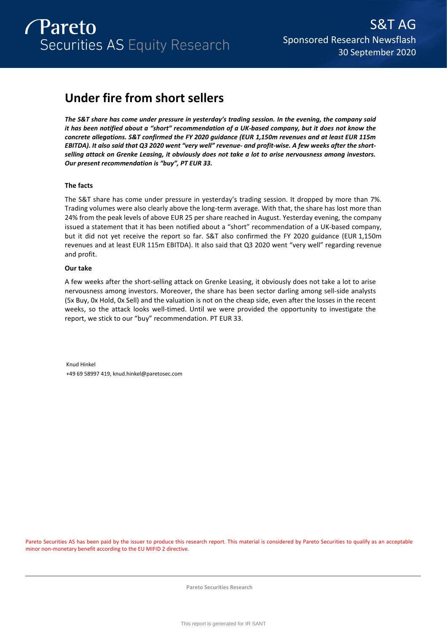

# **Under fire from short sellers**

*The S&T share has come under pressure in yesterday's trading session. In the evening, the company said it has been notified about a "short" recommendation of a UK-based company, but it does not know the concrete allegations. S&T confirmed the FY 2020 guidance (EUR 1,150m revenues and at least EUR 115m EBITDA). It also said that Q3 2020 went "very well" revenue- and profit-wise. A few weeks after the shortselling attack on Grenke Leasing, it obviously does not take a lot to arise nervousness among investors. Our present recommendation is "buy", PT EUR 33.* 

# **The facts**

The S&T share has come under pressure in yesterday's trading session. It dropped by more than 7%. Trading volumes were also clearly above the long-term average. With that, the share has lost more than 24% from the peak levels of above EUR 25 per share reached in August. Yesterday evening, the company issued a statement that it has been notified about a "short" recommendation of a UK-based company, but it did not yet receive the report so far. S&T also confirmed the FY 2020 guidance (EUR 1,150m revenues and at least EUR 115m EBITDA). It also said that Q3 2020 went "very well" regarding revenue and profit.

# **Our take**

A few weeks after the short-selling attack on Grenke Leasing, it obviously does not take a lot to arise nervousness among investors. Moreover, the share has been sector darling among sell-side analysts (5x Buy, 0x Hold, 0x Sell) and the valuation is not on the cheap side, even after the losses in the recent weeks, so the attack looks well-timed. Until we were provided the opportunity to investigate the report, we stick to our "buy" recommendation. PT EUR 33.

Knud Hinkel +49 69 58997 419, knud.hinkel@paretosec.com

Pareto Securities AS has been paid by the issuer to produce this research report. This material is considered by Pareto Securities to qualify as an acceptable minor non-monetary benefit according to the EU MIFID 2 directive.

**Pareto Securities Research**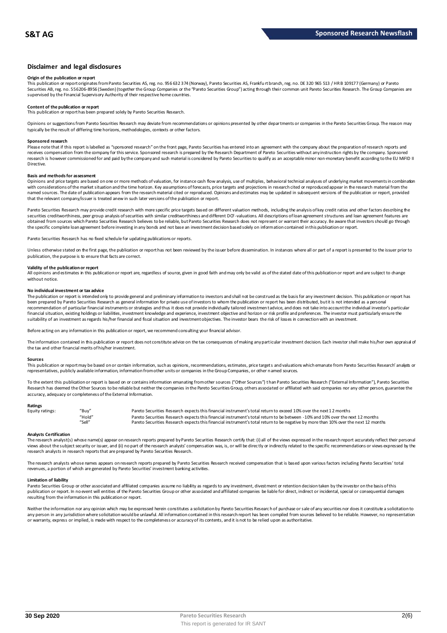### **Disclaimer and legal disclosures**

#### **Origin of the publication or report**

This publication or report originates from Pareto Securities AS, reg. no. 956 632 374 (Norway), Pareto Securities AS, Frankfu rt branch, reg. no. DE 320 965 513 / HR B 109177 (Germany) or Pareto Securities AB, reg. no. 556206-8956 (Sweden) (together the Group Companies or the "Pareto Securities Group") acting through their common unit Pareto Securities Research. The Group Companies are<br>supervised by the Financial

# **Content of the publication or report**

This publication or report has been prepared solely by Pareto Securities Research.

Opinions or suggestions from Pareto Securities Research may deviate from recommendations or opinions presented by other departments or companies in the Pareto Securities Group. The reason may typically be the result of differing time horizons, methodologies, contexts or other factors.

#### **Sponsored research**

Please note that if this report is labelled as "sponsored research" on the front page, Pareto Securities has entered into an agreement with the company about the preparation of research reports and<br>receives compensation fr research is however commissioned for and paid by the company and such material is considered by Pareto Securities to qualify as an acceptable minor non-monetary benefit according to the EU MiFID II Directive.

#### **Basis and methods for assessment**

Opinions and price targets are based on one or more methods of valuation, for instance cash flow analysis, use of multiples, behavioral technical analyses of underlying market movements in combination with considerations of the market situation and the time horizon. Key assumptions of forecasts, price targets and projections in research cited or reproduced appear in the research material from the named sources. The date of publication appears from the research material cited or reproduced. Opinions and estimates may be updated in subsequent versions of the publication or report, provided that the relevant company/issuer is treated anew in such later versions of the publication or report.

Pareto Securities Research may provide credit research with more specific price targets based on different valuation methods, including the analysis of key credit ratios and other factors describing the securities creditworthiness, peer group analysis of securities with similar creditworthiness and different DCF-valuations. All descriptions of loan agreement structures and loan agreement features are obtained from sources which Pareto Securities Research believes to be reliable, but Pareto Securities Research does not represent or warrant their accuracy. Be aware that investors should go through the specific complete loan agreement before investing in any bonds and not base an investment decision based solely on information contained in this publication or report.

Pareto Securities Research has no fixed schedule for updating publications or reports.

Unless otherwise stated on the first page, the publication or report has not been reviewed by the issuer before dissemination. In instances where all or part of a report is presented to the issuer prior to publication, the purpose is to ensure that facts are correct.

#### **Validity of the publication or report**

All opinions and estimates in this publication or report are, regardless of source, given in good faith and may only be valid as of the stated date of this publication or report and are subject to change without notice.

#### **No individual investment or tax advice**

The publication or report is intended only to provide general and preliminary information to investors and shall not be construed as the basis for any investment decision. This publication or report has<br>been prepared by Pa recommendation of particular financial instruments or strategies and thus it does not provide individually tailored investmen t advice, and does not take into account the individual investor's particular financial situation, existing holdings or liabilities, investment knowledge and experience, investment objective and horizon or risk profile and preferences. The investor must particularly ensure the<br>suitability of an inve

Before acting on any information in this publication or report, we recommend consulting your financial advisor.

The information contained in this publication or report does not constitute advice on the tax consequences of making any particular investment decision. Each investor shall make his/her own appraisal of the tax and other financial merits of his/her investment.

#### **Sources**

This publication or report may be based on or contain information, such as opinions, recommendations, estimates, price targets and valuations which emanate from Pareto Securities Research' analysts or representatives, publicly available information, information from other units or companies in the Group Companies, or other named sources.

To the extent this publication or report is based on or contains information emanating from other sources ("Other Sources") than Pareto Securities Research ("External Information"), Pareto Securities Research has deemed the Other Sources to be reliable but neither the companies in the Pareto Securities Group, others associated or affiliated with said companies nor any other person, guarantee the accuracy, adequacy or completeness of the External Information.

#### **Ratings**

| Equity ratings: | "Buy"  | Pareto Securities Research expects this financial instrument's total return to exceed 10% over the next 12 months                   |
|-----------------|--------|-------------------------------------------------------------------------------------------------------------------------------------|
|                 | "Hold" | Pareto Securities Research expects this financial instrument's total return to be between -10% and 10% over the next 12 months      |
|                 | "Sell" | Pareto Securities Research expects this financial instrument's total return to be negative by more than 10% over the next 12 months |

#### **Analysts Certification**

The research analyst(s) whose name(s) appear on research reports prepared by Pareto Securities Research certify that: (i) all o f the views expressed in the research report accurately reflect their personal views about the subject security or issuer, and (ii) no part of the research analysts' compensation was, is, or will be directly or indirectly related to the specific recommendations or views expressed by the research analysts in research reports that are prepared by Pareto Securities Research.

The research analysts whose names appears on research reports prepared by Pareto Securities Research received compensation that is based upon various factors including Pareto Securities' total<br>revenues, a portion of which

#### **Limitation of liability**

Pareto Securities Group or other associated and affiliated companies assume no liability as regards to any investment, divestment or retention decision taken by the investor on the basis of this publication or report. In no event will entities of the Pareto Securities Group or other associated and affiliated companies be liable for direct, indirect or incidental, special or consequential damages resulting from the information in this publication or report.

Neither the information nor any opinion which may be expressed herein constitutes a soligitation by Pareto Securities Research of purchase or sale of any securities nor does it constitute a soligitation to any person in any jurisdiction where solicitation would be unlawful. All information contained in this research report has been compiled from sources believed to be reliable. However, no representation or warranty, express or implied, is made with respect to the completeness or accuracy of its contents, and it is not to be relied upon as authoritative.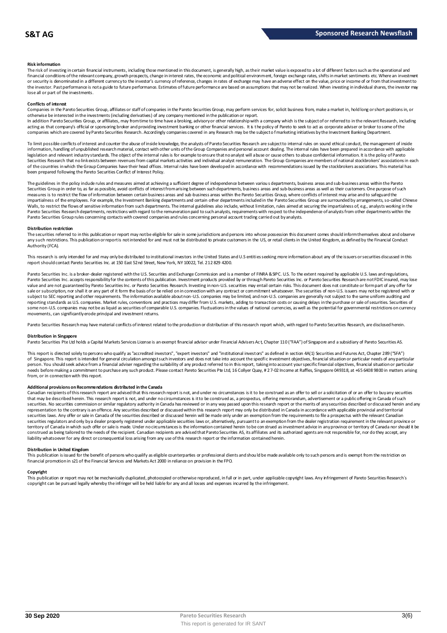#### **Risk information**

The risk of investing in certain financial instruments, including those mentioned in this document, is generally high, as their market value is exposed to a lot of different factors such as the operational and financial conditions of the relevant company, growth prospects, change in interest rates, the economic and political environment, foreign exchange rates, shifts in market sentiments etc. Where an investment or security is denominated in a different currency to the investor's currency of reference, changes in rates of exchange may have an adverse effect on the value, price or income of or from that investment to the investor. Past performance is not a guide to future performance. Estimates of future performance are based on assumptions that may not be realized. When investing in individual shares, the investor may lose all or part of the investments.

#### **Conflicts of interest**

Companies in the Pareto Securities Group, affiliates or staff of companies in the Pareto Securities Group, may perform services for, solicit business from, make a market in, hold long or short positions in, or otherwise be interested in the investments (including derivatives) of any company mentioned in the publication or report.<br>In addition Pareto Securities Group, or affiliates, may from time to time have a broking, advisory o

acting as that company's official or sponsoring broker and providing investment banking or other financial services. It is the policy of Pareto to seek to act as corporate adviser or broker to some of the companies which are covered by Pareto Securities Research. Accordingly companies covered in any Research may be the subject o f marketing initiatives by the Investment Banking Department.

To limit possible conflicts of interest and counter the abuse of inside knowledge, the analysts of Pareto Securities Research are subject to internal rules on sound ethical conduct, the management of inside information, handling of unpublished research material, contact with other units of the Group Companies and personal account dealing. The internal rules have been prepared in accordance with applicable legislation and relevant industry standards. The object of the internal rules is for example to ensure that no analyst will abuse or cause others to abuse confidential information. It is the policy of Pareto Securities Research that no link exists between revenues from capital markets activities and individual analyst remuneration. The Group Companies are members of national stockbrokers' associations in each of the countries in which the Group Companies have their head offices. Internal rules have been developed in accordance with recommendations issued by the stockbrokers associations. This material has been prepared following the Pareto Securities Conflict of Interest Policy.

The guidelines in the policy indude rules and measures aimed at achieving a sufficient degree of independence between various departments, business areas and sub-business areas within the Pareto Securities Group in order to, as far as possible, avoid conflicts of interest from arising between such departments, business areas and sub-business areas as well as their customers. One purpose of such measures is to restrict the flow of information between certain business areas and sub-business areas within the Pareto Securities Group, where conflicts of interest may arise and to safeguard the<br>impartialness of the empl The guidelines in the policy indude rules and measures aimed at achieving a sufficient degree of independence between various departments, business areas and sub-business areas within the Pareto<br>Securities Group in order t Pareto Securities Group rules concerning contacts with covered companies and rules concerning personal account trading carried out by analysts.

#### **Distribution restriction**

The securities referred to in this publication or report may not be eligible for sale in some jurisdictions and persons into whose possession this document comes should inform themselves about and observe Pareto Securities Group rules concerning contacts with covered companies and rules concerning personal account trading carried out by analysts.<br>Distribution restriction<br>The securities referred to in this publication or rep Authority (FCA).

This research is only intended for and may only be distributed to institutional investors in the United States and U.S entities seeking more information about any of the issuers or securities discussed in this report should contact Pareto Securities Inc. at 150 East 52nd Street, New York, NY 10022, Tel. 212 829 4200.

Pareto Securities Inc. is a broker-dealer registered with the U.S. Securities and Exchange Commission and is a member of FINRA & SPC. U.S. To the extent required by applicable U.S. laws and regulations, Pareto Securities Inc. accepts responsibility for the contents of this publication. Investment products provided by or through Pareto Securities Inc. or Pareto Securities Research are not FDIC insured, may lose value and are not guaranteed by Pareto Securities Inc. or Pareto Securities Research. Investing in non-U.S. securities may entail certain risks. This document does not constitute or formpart of any offer for<br>sale or subscr subject to SEC reporting and other requirements. The information available about non-U.S. companies may be limited, and non-U.S. companies are generally not subject to the same unifom auditing and<br>reporting standards as U some non-U.S. companies may not be as liquid as securities of comparable U.S. companies. Fluctuations in the values of national currencies, as well as the potential for governmental restrictions on currency movements, can significantly erode principal and investment returns.

Pareto Securities Research may have material conflicts of interest related to the production or distribution of this research report which, with regard to Pareto Securities Research, are disclosed herein.

#### **Distribution in Singapore**

Pareto Securities Pte Ltd holds a Capital Markets Services License is an exempt financial advisor under Financial Advisers Act, Chapter 110 ("FAA") of Singapore and a subsidiary of Pareto Securities AS.

This report is directed solely to persons who qualify as "accredited investors", "expert investors" and "institutional investors" as defined in section 4A(1) Securities and Futures Act, Chapter 289 ("SFA") Distribution in Singapore<br>Pareto Securities Pte Ltd holds a Capital Markets Services License is an exempt financial advisor under Financial Advisers Act, Chapter 110 ("FAA") of Singapore and a subsidiary of Pareto Securiti person. You should seek advice from a financial adviser regarding the suitability of any product referred to in this report, taking into account your specific financial objectives, financial situation or particular needs before making a commitment to purchase any such product. Please contact Pareto Securities Pte Ltd, 16 Collyer Quay, # 2 7-02 Income at Raffles, Singapore 049318, at +65 6408 9800 in matters arising<br>from, or in connec

Additional provisions on Recommendations distributed in the Canada<br>Canadian recipients of this research report are advised that this research report is not, and under no droumstances is it to be construed as an offer to se needs before making a commitment to purchase any such product. Please contact Pareto Securities Pte Ltd, 16 Collyer Quay, # 27-02 Income at Raffles, Singapore 049318, at +65 6408 9800 in matters arisi<br>from, or in connectio From, or in connection with this report.<br>Additional provisions on Recommendations distributed in the Canada<br>Canadian recipients of this research report are advised that this research report is not, and under no circumstanc securities laws. Any offer or sale in Canada of the securities described or discussed herein will be made only under an exemption from the requirements to file a prospectus with the relevant Canadian securities regulators and only bya dealer properly registered under applicable securities laws or, alternatively, pursuant to an exemption from the dealer registration requirement in the relevant province or<br>territory of C construed as being tailored to the needs of the recipient. Canadian recipients are advised that Pareto Securities AS, its affiliates and its authorized agents are not responsible for, nor do they accept, any liability whatsoever for any direct or consequential loss arising from any use of this research report or the information contained herein.

#### **Distribution in United Kingdom**

This publication is issued for the benefit of persons who qualify as eligible counterparties or professional dients and should be made available only to such persons and is exempt from the restriction on financial promotion in s21 of the Financial Services and Markets Act 2000 in reliance on provision in the FPO. This publication is issued for the benefit of persons who qualify as eligible counterparties or professional dients and should be made available only to such persons and is exempt from the restriction on<br>financial promotio

#### **Copyright**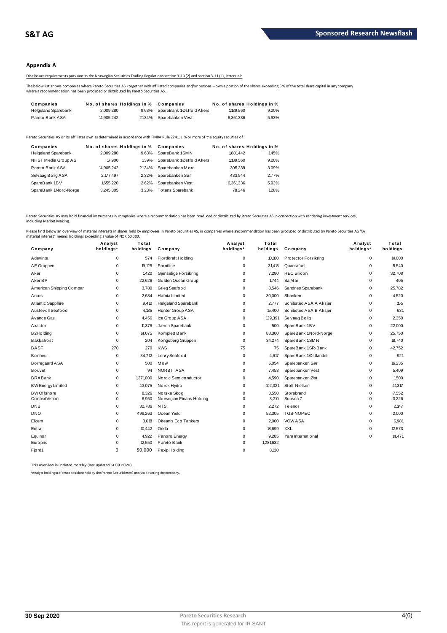## **Appendix A**

Disclosure requirements pursuant to the Norwegian Securities Trading Regulations section 3-10 (2) and section 3-11 (1), letters a-b

The below list shows companies where Pareto Securities AS - together with affiliated companies and/or persons – own a portion of the shares exceeding 5 % of the total share capital in any company<br>where a recommendation has

| Disclosure requirements pursuant to the Norwegian Securities Trading Regulations section 3-10(2) and section 3-11(1), letters a-b                                                                                                         |                             |       |                           |                             |       |  |
|-------------------------------------------------------------------------------------------------------------------------------------------------------------------------------------------------------------------------------------------|-----------------------------|-------|---------------------------|-----------------------------|-------|--|
| The below list shows companies where Pareto Securities AS - together with affiliated companies and/or persons - own a portion of the shares exceeding<br>where a recommendation has been produced or distributed by Pareto Securities AS. |                             |       |                           |                             |       |  |
| Companies                                                                                                                                                                                                                                 | No. of shares Holdings in % |       | Companies                 | No. of shares Holdings in % |       |  |
| <b>Helgeland Sparebank</b>                                                                                                                                                                                                                | 2.009.280                   | 9.63% | SpareBank 1Østfold Akersl | 1,139,560                   | 9.20% |  |
| Pareto Bank ASA                                                                                                                                                                                                                           | 14.905.242                  | 2134% | Sparebanken Vest          | 6.361336                    | 5.93% |  |

| <b>I GIULU DAIIN AUA</b>   | <b>H.JUJ.</b> CTC           | <b>4.777.79</b> | <b>UDAIGUAINGII VUJL</b>                                                                                                              | U.JU LJJU | <b>J.JJ</b> 70              |
|----------------------------|-----------------------------|-----------------|---------------------------------------------------------------------------------------------------------------------------------------|-----------|-----------------------------|
|                            |                             |                 | Pareto Securities AS or its affiliates own as determined in accordance with FINRA Rule 2241. 1 % or more of the equity securijes of : |           |                             |
| Companies                  | No. of shares Holdings in % |                 | Companies                                                                                                                             |           | No. of shares Holdings in % |
| <b>Helgeland Sparebank</b> | 2.009.280                   | 9.63%           | SpareBank 1SMN                                                                                                                        | 1.881.442 | 1.45%                       |
| NHST Media Group AS        | 17,900                      | 1.39%           | SpareBank 1Østfold Akersl                                                                                                             | 1,139,560 | 9.20%                       |
| Pareto Bank ASA            | 14.905.242                  | 21.34%          | Sparebanken Møre                                                                                                                      | 305.239   | 3.09%                       |
| Selvaag Bolig ASA          | 2.177.497                   | 2.32%           | Sparebanken Sør                                                                                                                       | 433.544   | 2.77%                       |
| SpareBank 1BV              | 1.655.220                   | 2.62%           | Sparebanken Vest                                                                                                                      | 6.361336  | 5.93%                       |
| SpareBank 1Nord-Norge      | 3.245.305                   | 3.23%           | <b>Totens Sparebank</b>                                                                                                               | 78.246    | 1.28%                       |
|                            |                             |                 |                                                                                                                                       |           |                             |

Pareto Securities AS may hold financial instruments in companies where a recommendation has been produced or distributed by Pareto Securities AS in connection with rendering investment services, including Market Making.

| Company                  | Analyst<br>holdings* | Total<br>holdings | Company                    | Analyst<br>holdings* | Total<br>holdings | Company                | Analyst<br>holdings* | Total<br>holdings |
|--------------------------|----------------------|-------------------|----------------------------|----------------------|-------------------|------------------------|----------------------|-------------------|
| Adevinta                 | $\mathbf 0$          | 574               | Fjordkraft Holding         | $\mathbf 0$          | 10,100            | Protector Forsikring   | $\mathbf 0$          | 14,000            |
| AF Gruppen               | 0                    | 19,125            | Frontline                  | $\Omega$             | 31.418            | Quantafuel             | 0                    | 5,540             |
| Aker                     | $\mathbf 0$          | 1,420             | Gjensidige Forsikring      | 0                    | 7,280             | <b>REC Silicon</b>     | 0                    | 32,708            |
| Aker BP                  | 0                    | 22,626            | Golden Ocean Group         | 0                    | 1,744             | SalM ar                | 0                    | 405               |
| American Shipping Compar | 0                    | 3,780             | Grieg Seafood              | $\Omega$             | 8,546             | Sandnes Sparebank      | 0                    | 25,782            |
| Arcus                    | 0                    | 2,684             | Hafnia Limited             | 0                    | 30,000            | Sbanken                | 0                    | 4,520             |
| Atlantic Sapphire        | $\mathbf 0$          | 9.410             | <b>Helgeland Sparebank</b> | $\Omega$             | 2.777             | Schibsted ASA A Aksjer | 0                    | 155               |
| Austevoll Seafood        | 0                    | 4,135             | Hunter Group ASA           | 0                    | 15,400            | Schibsted ASA B Aksjer | 0                    | 631               |
| Avance Gas               | 0                    | 4,456             | Ice Group ASA              | 0                    | 129,391           | Selvaag Bolig          | 0                    | 2,350             |
| Axactor                  | $\mathbf 0$          | 11,376            | Jæren Sparebank            | 0                    | 500               | SpareBank 1BV          | 0                    | 22,000            |
| B <sub>2</sub> Holding   | $\mathbf 0$          | 14,075            | Komplett Bank              | 0                    | 88,300            | SpareBank 1Nord-Norge  | 0                    | 25,750            |
| Bakkafrost               | 0                    | 204               | Kongsberg Gruppen          | 0                    | 34,274            | SpareBank 1SMN         | 0                    | 18,740            |
| <b>BASF</b>              | 270                  | 270               | <b>KWS</b>                 | 75                   | 75                | SpareBank 1SR-Bank     | 0                    | 42,752            |
| <b>Bonheur</b>           | 0                    | 34,712            | Lerøy Seafood              | 0                    | 4,617             | SpareBank 1Østlandet   | 0                    | 921               |
| Borregaard ASA           | $\mathbf 0$          | 500               | Mowi                       | 0                    | 5,054             | Sparebanken Sør        | 0                    | 16,235            |
| <b>Bouvet</b>            | $\mathbf 0$          | 94                | <b>NORBIT ASA</b>          | $\Omega$             | 7,453             | Sparebanken Vest       | $\mathbf 0$          | 5,409             |
| <b>BRABank</b>           | 0                    | 1,371,000         | Nordic Semiconductor       | $\Omega$             | 4,590             | Sparebanken Øst        | 0                    | 1,500             |
| <b>BW Energy Limited</b> | $\mathbf 0$          | 43,075            | Norsk Hydro                | 0                    | 102,321           | Stolt-Nielsen          | $\mathbf 0$          | 41,317            |
| <b>BW</b> Offshore       | 0                    | 8,326             | Norske Skog                | 0                    | 3,550             | Sto rebrand            | 0                    | 7,552             |
| ContextVision            | $\mathbf 0$          | 6,950             | Norwegian Finans Holding   | $\mathbf 0$          | 3,210             | Subsea 7               | $\mathbf 0$          | 3,226             |
| <b>DNB</b>               | 0                    | 32,786            | <b>NTS</b>                 | $\Omega$             | 2,272             | Telenor                | 0                    | 2,147             |
| <b>DNO</b>               | $\mathbf 0$          | 499,263           | Ocean Yield                | 0                    | 52,305            | TGS-NOPEC              | 0                    | 2,000             |
| Elkem                    | $\mathbf 0$          | 3.018             | Okeanis Eco Tankers        | 0                    | 2,000             | <b>VOW ASA</b>         | 0                    | 6,981             |
| Entra                    | $\Omega$             | 10,442            | Orkla                      | $\Omega$             | 18,699            | <b>XXL</b>             | 0                    | 12,573            |
| Equinor                  | 0                    | 4,922             | Panoro Energy              | $\Omega$             | 9,285             | Yara International     | 0                    | 14,471            |
| Europris                 | $\mathbf 0$          | 12,550            | Pareto Bank                | $\mathbf 0$          | 1,281,632         |                        |                      |                   |
| Fjord1                   | 0                    | 50,000            | Pexip Holding              | $\Omega$             | 8,130             |                        |                      |                   |

This overview is updated monthly (last updated 14.09.2020).

\*Analyst holdings ref ers t o posit ions held by t he Paret o Securit ies AS analyst covering t he company.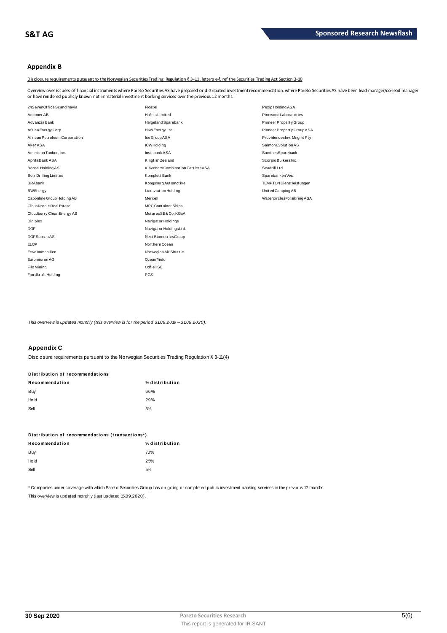# **Appendix B**

Disclosure requirements pursuant to the Norwegian Securities Trading Regulation § 3-11, letters e-f, ref the Securities Trading Act Section 3-10

Overview over issuers of financial instruments where Pareto Securities AS have prepared or distributed investment recommendation, where Pareto Securities AS have been lead manager/co-lead manager or have rendered publicly known not immaterial investment banking services over the previous 12 months:

| 24SevenOffice Scandinavia     | Floatel                            | Pexip Holding ASA          |
|-------------------------------|------------------------------------|----------------------------|
| Acconer AB                    | Hafnia Limited                     | Pinewood Laborat ories     |
| Advanzia Bank                 | <b>Helgeland Sparebank</b>         | Pioneer Property Group     |
| Africa Energy Corp            | <b>HKN</b> Energy Ltd              | Pioneer Property Group ASA |
| African Petroleum Corporation | Ice Group ASA                      | ProvidencesInv. Mngmt Pty  |
| Aker ASA                      | <b>ICWHolding</b>                  | Salmon Evolution AS        |
| American Tanker, Inc.         | Instabank ASA                      | SandnesSparebank           |
| Aprila Bank ASA               | Kingfish Zeeland                   | Scorpio BulkersInc.        |
| Boreal Holding AS             | Klaveness Combination Carriers ASA | Seadrill Ltd               |
| Borr Drilling Limited         | Komplett Bank                      | Sparebanken Vest           |
| <b>BRAbank</b>                | Kongsberg Automotive               | TEMPTON Dienst leist ungen |
| <b>BWEnergy</b>               | <b>Luxaviation Holding</b>         | United Camping AB          |
| Cabonline Group Holding AB    | Mercell                            | WatercirclesForsikring ASA |
| Cibus Nordic Real Estate      | <b>MPCContainer Ships</b>          |                            |
| Cloudberry Clean Energy AS    | MutaresSE& Co. KGaA                |                            |
| Digiplex                      | Navigator Holdings                 |                            |
| <b>DOF</b>                    | Navigator Holdings Ltd.            |                            |
| DOF Subsea AS                 | Next BiometricsGroup               |                            |
| <b>ELOP</b>                   | Northern Ocean                     |                            |
| Erwe Immobilien               | Norwegian Air Shuttle              |                            |
| Euromicron AG                 | Ocean Yield                        |                            |
| <b>Filo Mining</b>            | Odfjell SE                         |                            |
| Fjordkraft Holding            | PGS                                |                            |

This overview is updated monthly (this overview is for the period 31.08.2019 - 31.08.2020).

# **Appendix C**

Disclosure requirements pursuant to the Norwegian Securities Trading Requiation § 3-11(4)

| Distribution of recommendations |                |  |  |  |
|---------------------------------|----------------|--|--|--|
| Recommendation                  | % distribution |  |  |  |
| Buy                             | 66%            |  |  |  |
| Hold                            | 29%            |  |  |  |
| Sell                            | 5%             |  |  |  |

| Distribution of recommendations (transactions*) |     |  |  |  |
|-------------------------------------------------|-----|--|--|--|
| % distribution<br>Recommendation                |     |  |  |  |
| Buy                                             | 70% |  |  |  |
| Hold                                            | 25% |  |  |  |
| Sell                                            | 5%  |  |  |  |

\* Companies under coverage with which Pareto Securities Group has on-going or completed public investment banking services in the previous 12 months This overview is updated monthly (last updated 15.09.2020).